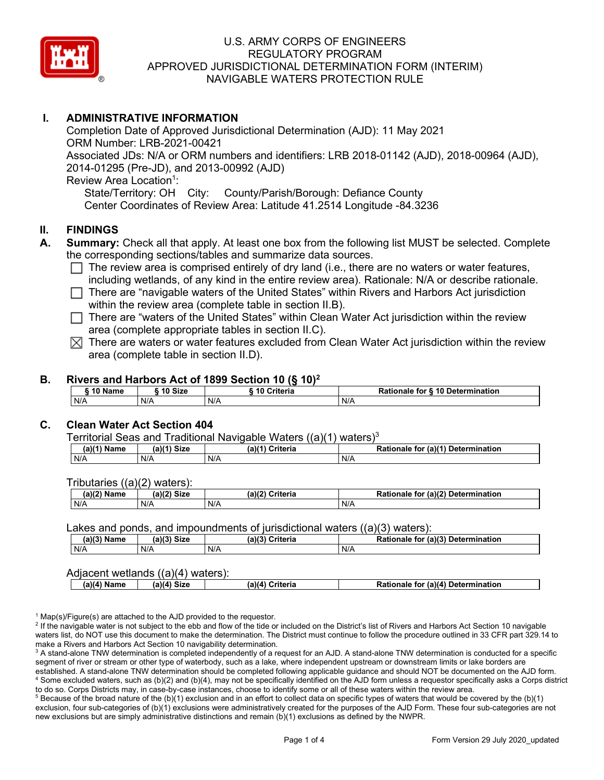

# **I. ADMINISTRATIVE INFORMATION**

Completion Date of Approved Jurisdictional Determination (AJD): 11 May 2021 ORM Number: LRB-2021-00421 Associated JDs: N/A or ORM numbers and identifiers: LRB 2018-01142 (AJD), 2018-00964 (AJD), 2014-01295 (Pre-JD), and 2013-00992 (AJD) Review Area Location<sup>1</sup>: State/Territory: OH City: County/Parish/Borough: Defiance County Center Coordinates of Review Area: Latitude 41.2514 Longitude -84.3236

# **II. FINDINGS**

- **A. Summary:** Check all that apply. At least one box from the following list MUST be selected. Complete the corresponding sections/tables and summarize data sources.
	- $\Box$  The review area is comprised entirely of dry land (i.e., there are no waters or water features, including wetlands, of any kind in the entire review area). Rationale: N/A or describe rationale.
	- $\Box$  There are "navigable waters of the United States" within Rivers and Harbors Act jurisdiction within the review area (complete table in section II.B).
	- $\Box$  There are "waters of the United States" within Clean Water Act jurisdiction within the review area (complete appropriate tables in section II.C).
	- $\boxtimes$  There are waters or water features excluded from Clean Water Act jurisdiction within the review area (complete table in section II.D).

#### **B. Rivers and Harbors Act of 1899 Section 10 (§ 10)2**

|           |           | ----        |                                  |
|-----------|-----------|-------------|----------------------------------|
| ົ 10 Name | ີ 10 Size | 10 Criteria | Rationale for § 10 Determination |
| N/A       | N/A       | N/A         | N/A                              |

#### **C. Clean Water Act Section 404**

Territorial Seas and Traditional Navigable Waters  $((a)(1)$  waters)<sup>3</sup>

| $(a)(1)$<br>Name | (a)(4)<br><b>Size</b> | (a)<br>}riteria | $\mathcal{L}$ (a)( <sup>4)</sup><br><b>Determination</b><br>tor<br>Ratior<br>naie |
|------------------|-----------------------|-----------------|-----------------------------------------------------------------------------------|
| N/A              | N/A                   | N/A             | N/A                                                                               |

Tributaries ((a)(2) waters):

| (a)(2)<br>. .<br>Name | (a)(2)<br><b>Siz∈</b> | (a)(2)<br>Criteria | (a)(2)<br><b>Determination</b><br>Rationale<br>tor |
|-----------------------|-----------------------|--------------------|----------------------------------------------------|
| N/A                   | N/A                   | N/A                | N/A                                                |

#### Lakes and ponds, and impoundments of jurisdictional waters  $((a)(3)$  waters):

| (a)(3)<br>Name | <b>Size</b><br>(0.10)<br>чаль | (a)(3)<br>Criteria | (a)(3)<br>Determination<br>Rationale<br>for |
|----------------|-------------------------------|--------------------|---------------------------------------------|
| N/A            | N/A                           | N/A                | N/A                                         |

#### Adjacent wetlands ((a)(4) waters):

|  | $\mathsf{I}$ a)(4).<br>™i≂r⊾<br>a)(4<br>Pationale.<br>for<br>Criteria<br>.a)(4<br>Name<br>∵∍ız⊾ | ا) Determination |
|--|-------------------------------------------------------------------------------------------------|------------------|
|--|-------------------------------------------------------------------------------------------------|------------------|

 $1$  Map(s)/Figure(s) are attached to the AJD provided to the requestor.

<sup>2</sup> If the navigable water is not subject to the ebb and flow of the tide or included on the District's list of Rivers and Harbors Act Section 10 navigable waters list, do NOT use this document to make the determination. The District must continue to follow the procedure outlined in 33 CFR part 329.14 to make a Rivers and Harbors Act Section 10 navigability determination.

<sup>3</sup> A stand-alone TNW determination is completed independently of a request for an AJD. A stand-alone TNW determination is conducted for a specific segment of river or stream or other type of waterbody, such as a lake, where independent upstream or downstream limits or lake borders are established. A stand-alone TNW determination should be completed following applicable guidance and should NOT be documented on the AJD form. <sup>4</sup> Some excluded waters, such as (b)(2) and (b)(4), may not be specifically identified on the AJD form unless a requestor specifically asks a Corps district to do so. Corps Districts may, in case-by-case instances, choose to identify some or all of these waters within the review area.

 $5$  Because of the broad nature of the (b)(1) exclusion and in an effort to collect data on specific types of waters that would be covered by the (b)(1) exclusion, four sub-categories of (b)(1) exclusions were administratively created for the purposes of the AJD Form. These four sub-categories are not new exclusions but are simply administrative distinctions and remain (b)(1) exclusions as defined by the NWPR.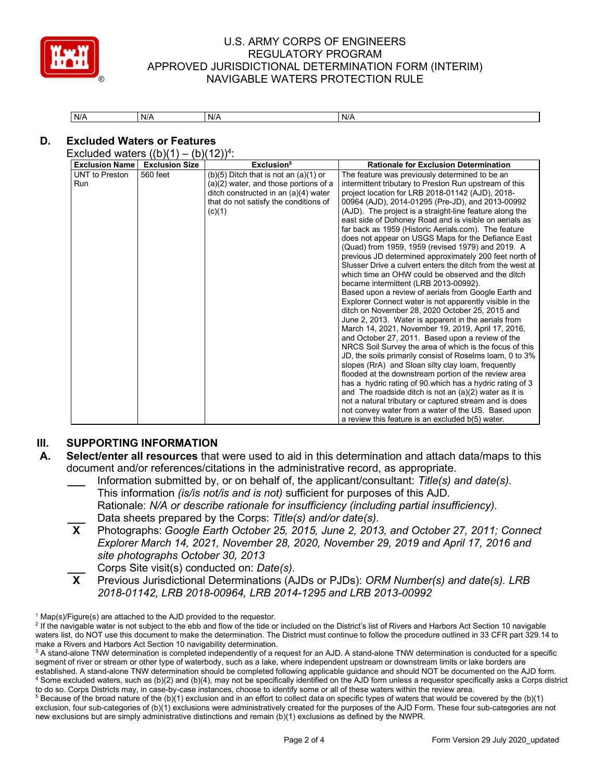

| N/A | N/A | N/A | N/A |
|-----|-----|-----|-----|

# **D. Excluded Waters or Features**

Excluded waters  $((b)(1) - (b)(12))^4$ :

| $(b)(5)$ Ditch that is not an $(a)(1)$ or<br><b>UNT</b> to Preston<br>560 feet<br>The feature was previously determined to be an<br>$(a)(2)$ water, and those portions of a<br>intermittent tributary to Preston Run upstream of this<br><b>Run</b><br>ditch constructed in an (a)(4) water<br>project location for LRB 2018-01142 (AJD), 2018-<br>00964 (AJD), 2014-01295 (Pre-JD), and 2013-00992<br>that do not satisfy the conditions of<br>(AJD). The project is a straight-line feature along the<br>(c)(1)<br>east side of Dohoney Road and is visible on aerials as<br>far back as 1959 (Historic Aerials.com). The feature<br>does not appear on USGS Maps for the Defiance East<br>(Quad) from 1959, 1959 (revised 1979) and 2019. A<br>which time an OHW could be observed and the ditch<br>became intermittent (LRB 2013-00992).<br>Based upon a review of aerials from Google Earth and<br>Explorer Connect water is not apparently visible in the<br>ditch on November 28, 2020 October 25, 2015 and<br>June 2, 2013. Water is apparent in the aerials from<br>March 14, 2021, November 19, 2019, April 17, 2016,<br>and October 27, 2011. Based upon a review of the<br>slopes (RrA) and Sloan silty clay loam, frequently<br>flooded at the downstream portion of the review area | <b>Exclusion Size</b> | Exclusion <sup>5</sup> | <b>Rationale for Exclusion Determination</b>                                                                                                                                                                                                                                                           |
|---------------------------------------------------------------------------------------------------------------------------------------------------------------------------------------------------------------------------------------------------------------------------------------------------------------------------------------------------------------------------------------------------------------------------------------------------------------------------------------------------------------------------------------------------------------------------------------------------------------------------------------------------------------------------------------------------------------------------------------------------------------------------------------------------------------------------------------------------------------------------------------------------------------------------------------------------------------------------------------------------------------------------------------------------------------------------------------------------------------------------------------------------------------------------------------------------------------------------------------------------------------------------------------------------|-----------------------|------------------------|--------------------------------------------------------------------------------------------------------------------------------------------------------------------------------------------------------------------------------------------------------------------------------------------------------|
| and The roadside ditch is not an $(a)(2)$ water as it is<br>not a natural tributary or captured stream and is does<br>not convey water from a water of the US. Based upon                                                                                                                                                                                                                                                                                                                                                                                                                                                                                                                                                                                                                                                                                                                                                                                                                                                                                                                                                                                                                                                                                                                         |                       |                        | previous JD determined approximately 200 feet north of<br>Slusser Drive a culvert enters the ditch from the west at<br>NRCS Soil Survey the area of which is the focus of this<br>JD, the soils primarily consist of Roselms loam, 0 to 3%<br>has a hydric rating of 90 which has a hydric rating of 3 |
|                                                                                                                                                                                                                                                                                                                                                                                                                                                                                                                                                                                                                                                                                                                                                                                                                                                                                                                                                                                                                                                                                                                                                                                                                                                                                                   |                       |                        |                                                                                                                                                                                                                                                                                                        |

#### **III. SUPPORTING INFORMATION**

- **A. Select/enter all resources** that were used to aid in this determination and attach data/maps to this document and/or references/citations in the administrative record, as appropriate.
	- **\_\_\_** Information submitted by, or on behalf of, the applicant/consultant: *Title(s) and date(s).* This information *(is/is not/is and is not)* sufficient for purposes of this AJD. Rationale: *N/A or describe rationale for insufficiency (including partial insufficiency).*
	- Data sheets prepared by the Corps: *Title(s) and/or date(s).*<br>**X** Photographs: *Google Earth October 25, 2015, June 2, 2011* **X** Photographs: *Google Earth October 25, 2015, June 2, 2013, and October 27, 2011; Connect Explorer March 14, 2021, November 28, 2020, November 29, 2019 and April 17, 2016 and site photographs October 30, 2013*
	- **\_\_\_** Corps Site visit(s) conducted on: *Date(s).*<br>**X** Previous Jurisdictional Determinations (A.
	- **X** Previous Jurisdictional Determinations (AJDs or PJDs): *ORM Number(s) and date(s). LRB 2018-01142, LRB 2018-00964, LRB 2014-1295 and LRB 2013-00992*

 $1$  Map(s)/Figure(s) are attached to the AJD provided to the requestor.

<sup>&</sup>lt;sup>2</sup> If the navigable water is not subject to the ebb and flow of the tide or included on the District's list of Rivers and Harbors Act Section 10 navigable waters list, do NOT use this document to make the determination. The District must continue to follow the procedure outlined in 33 CFR part 329.14 to make a Rivers and Harbors Act Section 10 navigability determination.

<sup>&</sup>lt;sup>3</sup> A stand-alone TNW determination is completed independently of a request for an AJD. A stand-alone TNW determination is conducted for a specific segment of river or stream or other type of waterbody, such as a lake, where independent upstream or downstream limits or lake borders are established. A stand-alone TNW determination should be completed following applicable guidance and should NOT be documented on the AJD form. <sup>4</sup> Some excluded waters, such as (b)(2) and (b)(4), may not be specifically identified on the AJD form unless a requestor specifically asks a Corps district to do so. Corps Districts may, in case-by-case instances, choose to identify some or all of these waters within the review area.

 $5$  Because of the broad nature of the (b)(1) exclusion and in an effort to collect data on specific types of waters that would be covered by the (b)(1) exclusion, four sub-categories of (b)(1) exclusions were administratively created for the purposes of the AJD Form. These four sub-categories are not new exclusions but are simply administrative distinctions and remain (b)(1) exclusions as defined by the NWPR.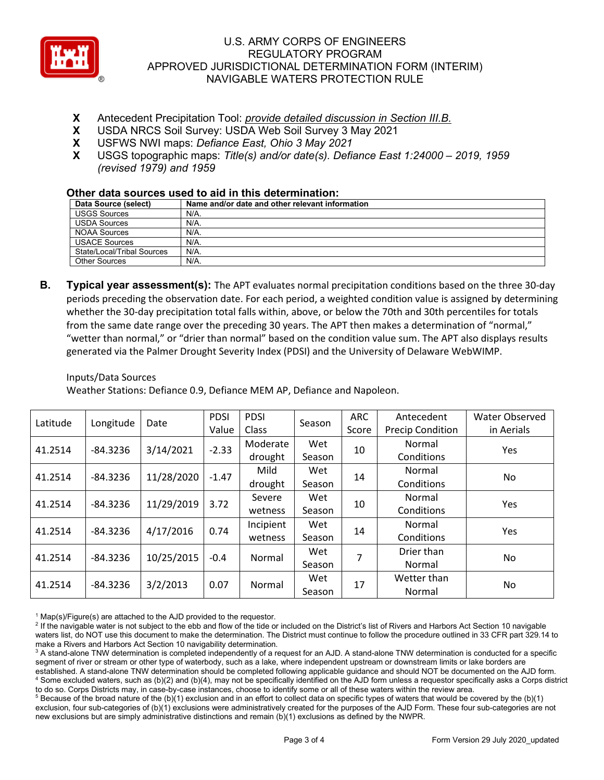

- **X** Antecedent Precipitation Tool: *provide detailed discussion in Section III.B.*
- **X** USDA NRCS Soil Survey: USDA Web Soil Survey 3 May 2021
- **X** USFWS NWI maps: *Defiance East, Ohio 3 May 2021*
- **X** USGS topographic maps: *Title(s) and/or date(s). Defiance East 1:24000 – 2019, 1959 (revised 1979) and 1959*

#### **Other data sources used to aid in this determination:**

| Data Source (select)       | Name and/or date and other relevant information |
|----------------------------|-------------------------------------------------|
| <b>USGS Sources</b>        | N/A.                                            |
| <b>USDA Sources</b>        | N/A.                                            |
| NOAA Sources               | N/A.                                            |
| <b>USACE Sources</b>       | N/A.                                            |
| State/Local/Tribal Sources | N/A.                                            |
| Other Sources              | N/A.                                            |

**B. Typical year assessment(s):** The APT evaluates normal precipitation conditions based on the three 30-day periods preceding the observation date. For each period, a weighted condition value is assigned by determining whether the 30-day precipitation total falls within, above, or below the 70th and 30th percentiles for totals from the same date range over the preceding 30 years. The APT then makes a determination of "normal," "wetter than normal," or "drier than normal" based on the condition value sum. The APT also displays results generated via the Palmer Drought Severity Index (PDSI) and the University of Delaware WebWIMP.

Inputs/Data Sources

Weather Stations: Defiance 0.9, Defiance MEM AP, Defiance and Napoleon.

| Latitude | Longitude  | Date       | <b>PDSI</b> | <b>PDSI</b> | Season | ARC   | Antecedent              | Water Observed |
|----------|------------|------------|-------------|-------------|--------|-------|-------------------------|----------------|
|          |            |            | Value       | Class       |        | Score | <b>Precip Condition</b> | in Aerials     |
| 41.2514  | $-84.3236$ | 3/14/2021  | $-2.33$     | Moderate    | Wet    | 10    | Normal                  | Yes            |
|          |            |            |             | drought     | Season |       | Conditions              |                |
| 41.2514  | $-84.3236$ | 11/28/2020 | $-1.47$     | Mild        | Wet    | 14    | Normal                  | No.            |
|          |            |            |             | drought     | Season |       | Conditions              |                |
| 41.2514  | $-84.3236$ | 11/29/2019 | 3.72        | Severe      | Wet    | 10    | Normal                  | <b>Yes</b>     |
|          |            |            |             | wetness     | Season |       | Conditions              |                |
| 41.2514  | $-84.3236$ | 4/17/2016  | 0.74        | Incipient   | Wet    | 14    | Normal                  | Yes            |
|          |            |            |             | wetness     | Season |       | Conditions              |                |
| 41.2514  | $-84.3236$ | 10/25/2015 | $-0.4$      | Normal      | Wet    | 7     | Drier than              | No             |
|          |            |            |             |             | Season |       | Normal                  |                |
|          |            | 3/2/2013   |             |             | Wet    | 17    | Wetter than             |                |
| 41.2514  | $-84.3236$ |            | 0.07        | Normal      | Season |       | Normal                  | No             |

 $1$  Map(s)/Figure(s) are attached to the AJD provided to the requestor.

<sup>2</sup> If the navigable water is not subject to the ebb and flow of the tide or included on the District's list of Rivers and Harbors Act Section 10 navigable waters list, do NOT use this document to make the determination. The District must continue to follow the procedure outlined in 33 CFR part 329.14 to make a Rivers and Harbors Act Section 10 navigability determination.

<sup>3</sup> A stand-alone TNW determination is completed independently of a request for an AJD. A stand-alone TNW determination is conducted for a specific segment of river or stream or other type of waterbody, such as a lake, where independent upstream or downstream limits or lake borders are established. A stand-alone TNW determination should be completed following applicable guidance and should NOT be documented on the AJD form. <sup>4</sup> Some excluded waters, such as (b)(2) and (b)(4), may not be specifically identified on the AJD form unless a requestor specifically asks a Corps district to do so. Corps Districts may, in case-by-case instances, choose to identify some or all of these waters within the review area.

 $5$  Because of the broad nature of the (b)(1) exclusion and in an effort to collect data on specific types of waters that would be covered by the (b)(1) exclusion, four sub-categories of (b)(1) exclusions were administratively created for the purposes of the AJD Form. These four sub-categories are not new exclusions but are simply administrative distinctions and remain (b)(1) exclusions as defined by the NWPR.